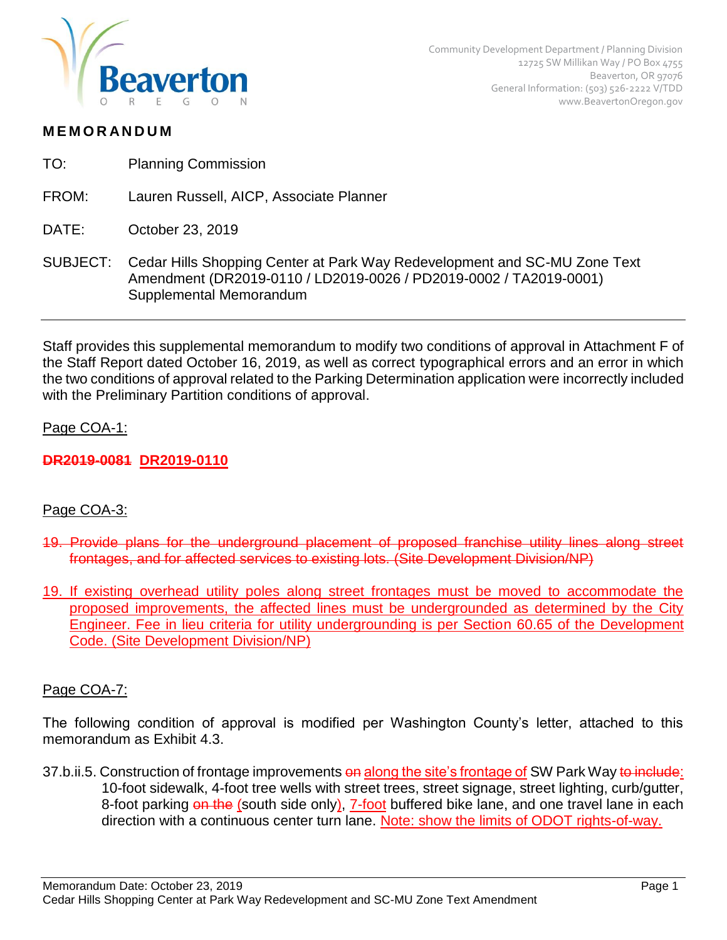

## **M E M O R AN D U M**

- TO: Planning Commission
- FROM: Lauren Russell, AICP, Associate Planner
- DATE: October 23, 2019
- SUBJECT: Cedar Hills Shopping Center at Park Way Redevelopment and SC-MU Zone Text Amendment (DR2019-0110 / LD2019-0026 / PD2019-0002 / TA2019-0001) Supplemental Memorandum

Staff provides this supplemental memorandum to modify two conditions of approval in Attachment F of the Staff Report dated October 16, 2019, as well as correct typographical errors and an error in which the two conditions of approval related to the Parking Determination application were incorrectly included with the Preliminary Partition conditions of approval.

### Page COA-1:

# **DR2019-0081 DR2019-0110**

# Page COA-3:

- 19. Provide plans for the underground placement of proposed franchise utility lines along street frontages, and for affected services to existing lots. (Site Development Division/NP)
- 19. If existing overhead utility poles along street frontages must be moved to accommodate the proposed improvements, the affected lines must be undergrounded as determined by the City Engineer. Fee in lieu criteria for utility undergrounding is per Section 60.65 of the Development Code. (Site Development Division/NP)

### Page COA-7:

The following condition of approval is modified per Washington County's letter, attached to this memorandum as Exhibit 4.3.

37.b.ii.5. Construction of frontage improvements on along the site's frontage of SW Park Way to include: 10-foot sidewalk, 4-foot tree wells with street trees, street signage, street lighting, curb/gutter, 8-foot parking on the (south side only), 7-foot buffered bike lane, and one travel lane in each direction with a continuous center turn lane. Note: show the limits of ODOT rights-of-way.